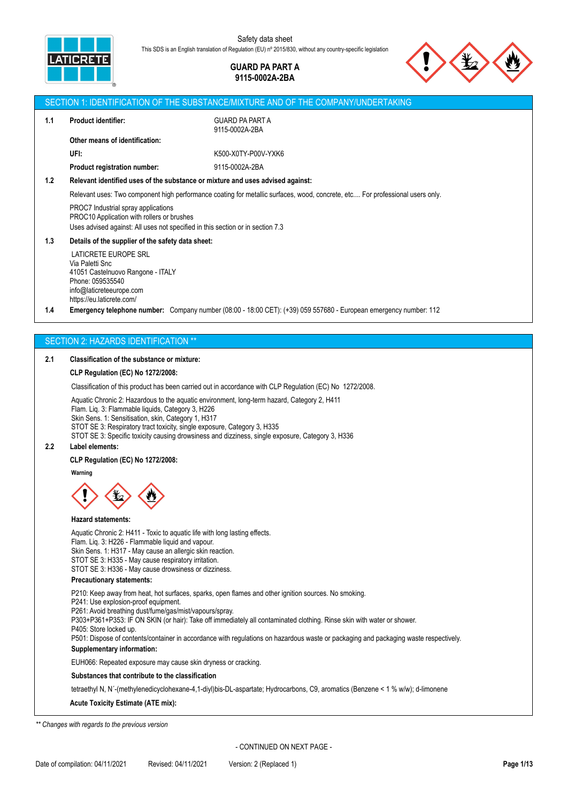

## **GUARD PA PART A 9115-0002A-2BA**



# SECTION 1: IDENTIFICATION OF THE SUBSTANCE/MIXTURE AND OF THE COMPANY/UNDERTAKING **1.1 Product identifier:** GUARD PA PART A 9115-0002A-2BA **Other means of identification: UFI:** K500-X0TY-P00V-YXK6 **Product registration number:** 9115-0002A-2BA **1.2 Relevant identified uses of the substance or mixture and uses advised against:** Relevant uses: Two component high performance coating for metallic surfaces, wood, concrete, etc.... For professional users only. PROC7 Industrial spray applications PROC10 Application with rollers or brushes Uses advised against: All uses not specified in this section or in section 7.3 **1.3 Details of the supplier of the safety data sheet:** LATICRETE EUROPE SRL Via Paletti Snc 41051 Castelnuovo Rangone - ITALY Phone: 059535540 info@laticreteeurope.com https://eu.laticrete.com/ **1.4 Emergency telephone number:** Company number (08:00 - 18:00 CET): (+39) 059 557680 - European emergency number: 112 SECTION 2: HAZARDS IDENTIFICATION \*\* **2.1 Classification of the substance or mixture: CLP Regulation (EC) No 1272/2008:** Classification of this product has been carried out in accordance with CLP Regulation (EC) No 1272/2008. Aquatic Chronic 2: Hazardous to the aquatic environment, long-term hazard, Category 2, H411 Flam. Liq. 3: Flammable liquids, Category 3, H226 Skin Sens. 1: Sensitisation, skin, Category 1, H317 STOT SE 3: Respiratory tract toxicity, single exposure, Category 3, H335 STOT SE 3: Specific toxicity causing drowsiness and dizziness, single exposure, Category 3, H336 **2.2 Label elements: CLP Regulation (EC) No 1272/2008: Warning Hazard statements:** Aquatic Chronic 2: H411 - Toxic to aquatic life with long lasting effects.

Flam. Liq. 3: H226 - Flammable liquid and vapour. Skin Sens. 1: H317 - May cause an allergic skin reaction. STOT SE 3: H335 - May cause respiratory irritation. STOT SE 3: H336 - May cause drowsiness or dizziness.

## **Precautionary statements:**

P210: Keep away from heat, hot surfaces, sparks, open flames and other ignition sources. No smoking.

- P241: Use explosion-proof equipment.
- P261: Avoid breathing dust/fume/gas/mist/vapours/spray.

P303+P361+P353: IF ON SKIN (or hair): Take off immediately all contaminated clothing. Rinse skin with water or shower.

P405: Store locked up.

P501: Dispose of contents/container in accordance with regulations on hazardous waste or packaging and packaging waste respectively. **Supplementary information:**

EUH066: Repeated exposure may cause skin dryness or cracking.

## **Substances that contribute to the classification**

tetraethyl N, N´-(methylenedicyclohexane-4,1-diyl)bis-DL-aspartate; Hydrocarbons, C9, aromatics (Benzene < 1 % w/w); d-limonene

### **Acute Toxicity Estimate (ATE mix):**

*\*\* Changes with regards to the previous version*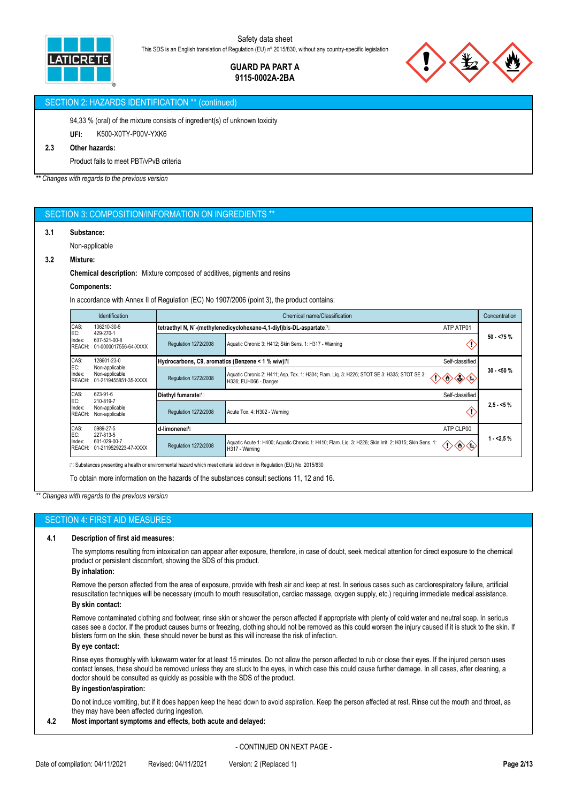

# **GUARD PA PART A 9115-0002A-2BA**

## SECTION 2: HAZARDS IDENTIFICATION \*\* (continued)

94,33 % (oral) of the mixture consists of ingredient(s) of unknown toxicity

**UFI:** K500-X0TY-P00V-YXK6

# **2.3 Other hazards:**

Product fails to meet PBT/vPvB criteria

*\*\* Changes with regards to the previous version*

## SECTION 3: COMPOSITION/INFORMATION ON INGREDIENTS

## **3.1 Substance:**

Non-applicable

## **3.2 Mixture:**

**Chemical description:** Mixture composed of additives, pigments and resins

#### **Components:**

In accordance with Annex II of Regulation (EC) No 1907/2006 (point 3), the product contains:

| <b>Identification</b>                                            | Chemical name/Classification                          |                                                                                                                                                 |                                                                                                                                                             |  |  |
|------------------------------------------------------------------|-------------------------------------------------------|-------------------------------------------------------------------------------------------------------------------------------------------------|-------------------------------------------------------------------------------------------------------------------------------------------------------------|--|--|
| 136210-30-5                                                      |                                                       | ATP ATP01                                                                                                                                       |                                                                                                                                                             |  |  |
| 607-521-00-8<br>01-0000017556-64-XXXX                            | Regulation 1272/2008                                  | Aquatic Chronic 3: H412; Skin Sens. 1: H317 - Warning                                                                                           | $50 - 75%$                                                                                                                                                  |  |  |
| 128601-23-0                                                      |                                                       | Self-classified                                                                                                                                 |                                                                                                                                                             |  |  |
| Non-applicable<br>01-2119455851-35-XXXX                          | Regulation 1272/2008                                  | Aquatic Chronic 2: H411; Asp. Tox. 1: H304; Flam. Liq. 3: H226; STOT SE 3: H335; STOT SE 3:<br>◈◈<br>$\Leftrightarrow$<br>H336; EUH066 - Danger | $30 - 50%$                                                                                                                                                  |  |  |
| 623-91-6                                                         | Diethyl fumarate <sup>n</sup>                         |                                                                                                                                                 |                                                                                                                                                             |  |  |
| Non-applicable<br>Non-applicable                                 | Regulation 1272/2008                                  | Acute Tox. 4: H302 - Warning                                                                                                                    | $2,5 - 5%$                                                                                                                                                  |  |  |
| 5989-27-5                                                        | d-limonene <sup>[1</sup> ]                            | ATP CLP00                                                                                                                                       |                                                                                                                                                             |  |  |
| EC:<br>601-029-00-7<br>Index:<br>REACH:<br>01-2119529223-47-XXXX |                                                       | Aquatic Acute 1: H400; Aquatic Chronic 1: H410; Flam. Lig. 3: H226; Skin Irrit. 2: H315; Skin Sens. 1:<br>$\Leftrightarrow$<br>H317 - Warning   | $1 - 2.5%$                                                                                                                                                  |  |  |
|                                                                  | 429-270-1<br>Non-applicable<br>210-819-7<br>227-813-5 | Regulation 1272/2008                                                                                                                            | tetraethyl N, N'-(methylenedicyclohexane-4,1-diyl)bis-DL-aspartatel <sup>1</sup> l<br>Hydrocarbons, C9, aromatics (Benzene < 1 % w/w)[1]<br>Self-classified |  |  |

et criteria laid down in Regulation (EU) No. 2015/830

To obtain more information on the hazards of the substances consult sections 11, 12 and 16.

*\*\* Changes with regards to the previous version*

## SECTION 4: FIRST AID MEASURES

## **4.1 Description of first aid measures:**

The symptoms resulting from intoxication can appear after exposure, therefore, in case of doubt, seek medical attention for direct exposure to the chemical product or persistent discomfort, showing the SDS of this product.

#### **By inhalation:**

Remove the person affected from the area of exposure, provide with fresh air and keep at rest. In serious cases such as cardiorespiratory failure, artificial resuscitation techniques will be necessary (mouth to mouth resuscitation, cardiac massage, oxygen supply, etc.) requiring immediate medical assistance. **By skin contact:**

Remove contaminated clothing and footwear, rinse skin or shower the person affected if appropriate with plenty of cold water and neutral soap. In serious cases see a doctor. If the product causes burns or freezing, clothing should not be removed as this could worsen the injury caused if it is stuck to the skin. If blisters form on the skin, these should never be burst as this will increase the risk of infection.

#### **By eye contact:**

Rinse eyes thoroughly with lukewarm water for at least 15 minutes. Do not allow the person affected to rub or close their eyes. If the injured person uses contact lenses, these should be removed unless they are stuck to the eyes, in which case this could cause further damage. In all cases, after cleaning, a doctor should be consulted as quickly as possible with the SDS of the product.

## **By ingestion/aspiration:**

Do not induce vomiting, but if it does happen keep the head down to avoid aspiration. Keep the person affected at rest. Rinse out the mouth and throat, as they may have been affected during ingestion.

## **4.2 Most important symptoms and effects, both acute and delayed:**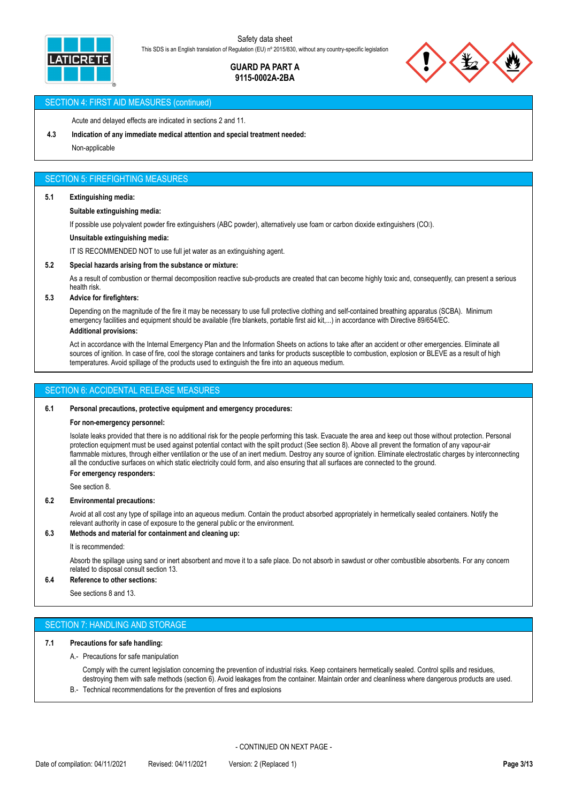

## **GUARD PA PART A 9115-0002A-2BA**



## SECTION 4: FIRST AID MEASURES (continued)

Acute and delayed effects are indicated in sections 2 and 11.

**4.3 Indication of any immediate medical attention and special treatment needed:**

Non-applicable

## SECTION 5: FIREFIGHTING MEASURES

#### **5.1 Extinguishing media:**

#### **Suitable extinguishing media:**

If possible use polyvalent powder fire extinguishers (ABC powder), alternatively use foam or carbon dioxide extinguishers (COI).

#### **Unsuitable extinguishing media:**

IT IS RECOMMENDED NOT to use full jet water as an extinguishing agent.

## **5.2 Special hazards arising from the substance or mixture:**

As a result of combustion or thermal decomposition reactive sub-products are created that can become highly toxic and, consequently, can present a serious health risk.

## **5.3 Advice for firefighters:**

Depending on the magnitude of the fire it may be necessary to use full protective clothing and self-contained breathing apparatus (SCBA). Minimum emergency facilities and equipment should be available (fire blankets, portable first aid kit,...) in accordance with Directive 89/654/EC. **Additional provisions:**

Act in accordance with the Internal Emergency Plan and the Information Sheets on actions to take after an accident or other emergencies. Eliminate all sources of ignition. In case of fire, cool the storage containers and tanks for products susceptible to combustion, explosion or BLEVE as a result of high temperatures. Avoid spillage of the products used to extinguish the fire into an aqueous medium.

## SECTION 6: ACCIDENTAL RELEASE MEASURES

#### **6.1 Personal precautions, protective equipment and emergency procedures:**

#### **For non-emergency personnel:**

Isolate leaks provided that there is no additional risk for the people performing this task. Evacuate the area and keep out those without protection. Personal protection equipment must be used against potential contact with the spilt product (See section 8). Above all prevent the formation of any vapour-air flammable mixtures, through either ventilation or the use of an inert medium. Destroy any source of ignition. Eliminate electrostatic charges by interconnecting all the conductive surfaces on which static electricity could form, and also ensuring that all surfaces are connected to the ground.

## **For emergency responders:**

See section 8.

#### **6.2 Environmental precautions:**

Avoid at all cost any type of spillage into an aqueous medium. Contain the product absorbed appropriately in hermetically sealed containers. Notify the relevant authority in case of exposure to the general public or the environment.

## **6.3 Methods and material for containment and cleaning up:**

#### It is recommended:

Absorb the spillage using sand or inert absorbent and move it to a safe place. Do not absorb in sawdust or other combustible absorbents. For any concern related to disposal consult section 13.

#### **6.4 Reference to other sections:**

See sections 8 and 13.

## SECTION 7: HANDLING AND STORAGE

## **7.1 Precautions for safe handling:**

A.- Precautions for safe manipulation

Comply with the current legislation concerning the prevention of industrial risks. Keep containers hermetically sealed. Control spills and residues, destroying them with safe methods (section 6). Avoid leakages from the container. Maintain order and cleanliness where dangerous products are used.

B.- Technical recommendations for the prevention of fires and explosions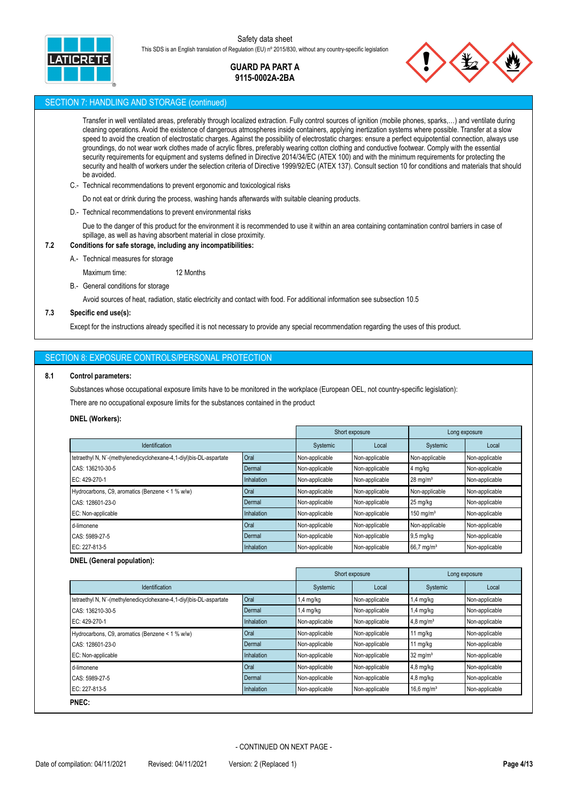

## **GUARD PA PART A 9115-0002A-2BA**



## SECTION 7: HANDLING AND STORAGE (continued)

Transfer in well ventilated areas, preferably through localized extraction. Fully control sources of ignition (mobile phones, sparks,…) and ventilate during cleaning operations. Avoid the existence of dangerous atmospheres inside containers, applying inertization systems where possible. Transfer at a slow speed to avoid the creation of electrostatic charges. Against the possibility of electrostatic charges: ensure a perfect equipotential connection, always use groundings, do not wear work clothes made of acrylic fibres, preferably wearing cotton clothing and conductive footwear. Comply with the essential security requirements for equipment and systems defined in Directive 2014/34/EC (ATEX 100) and with the minimum requirements for protecting the security and health of workers under the selection criteria of Directive 1999/92/EC (ATEX 137). Consult section 10 for conditions and materials that should be avoided.

- C.- Technical recommendations to prevent ergonomic and toxicological risks
	- Do not eat or drink during the process, washing hands afterwards with suitable cleaning products.
- D.- Technical recommendations to prevent environmental risks

Due to the danger of this product for the environment it is recommended to use it within an area containing contamination control barriers in case of spillage, as well as having absorbent material in close proximity.

## **7.2 Conditions for safe storage, including any incompatibilities:**

A.- Technical measures for storage

Maximum time: 12 Months

B.- General conditions for storage

Avoid sources of heat, radiation, static electricity and contact with food. For additional information see subsection 10.5

## **7.3 Specific end use(s):**

Except for the instructions already specified it is not necessary to provide any special recommendation regarding the uses of this product.

## SECTION 8: EXPOSURE CONTROLS/PERSONAL PROTECTION

#### **8.1 Control parameters:**

Substances whose occupational exposure limits have to be monitored in the workplace (European OEL, not country-specific legislation):

There are no occupational exposure limits for the substances contained in the product

#### **DNEL (Workers):**

|                                                                    |               | Short exposure |                | Long exposure          |                |
|--------------------------------------------------------------------|---------------|----------------|----------------|------------------------|----------------|
| Identification                                                     |               | Systemic       | Local          | Systemic               | Local          |
| tetraethyl N, N'-(methylenedicyclohexane-4,1-diyl)bis-DL-aspartate | Oral          | Non-applicable | Non-applicable | Non-applicable         | Non-applicable |
| CAS: 136210-30-5                                                   | Dermal        | Non-applicable | Non-applicable | 4 mg/kg                | Non-applicable |
| EC: 429-270-1                                                      | Inhalation    | Non-applicable | Non-applicable | $28 \text{ mg/m}^3$    | Non-applicable |
| Hydrocarbons, C9, aromatics (Benzene < 1 % w/w)                    | Oral          | Non-applicable | Non-applicable | Non-applicable         | Non-applicable |
| CAS: 128601-23-0                                                   | <b>Dermal</b> | Non-applicable | Non-applicable | 25 mg/kg               | Non-applicable |
| EC: Non-applicable                                                 | Inhalation    | Non-applicable | Non-applicable | $150 \text{ mg/m}^3$   | Non-applicable |
| d-limonene                                                         | Oral          | Non-applicable | Non-applicable | Non-applicable         | Non-applicable |
| CAS: 5989-27-5                                                     | Dermal        | Non-applicable | Non-applicable | $9,5$ mg/kg            | Non-applicable |
| EC: 227-813-5                                                      | Inhalation    | Non-applicable | Non-applicable | 66,7 mg/m <sup>3</sup> | Non-applicable |

### **DNEL (General population):**

|                                                                    |                   |                | Short exposure |                         | Long exposure  |
|--------------------------------------------------------------------|-------------------|----------------|----------------|-------------------------|----------------|
| <b>Identification</b>                                              |                   | Systemic       | Local          | Systemic                | Local          |
| tetraethyl N, N'-(methylenedicyclohexane-4,1-diyl)bis-DL-aspartate | Oral              | $1,4$ mg/kg    | Non-applicable | $1,4$ mg/kg             | Non-applicable |
| CAS: 136210-30-5                                                   | Dermal            | $1,4$ mg/kg    | Non-applicable | $1,4$ mg/kg             | Non-applicable |
| EC: 429-270-1                                                      | <b>Inhalation</b> | Non-applicable | Non-applicable | $4,8$ mg/m <sup>3</sup> | Non-applicable |
| Hydrocarbons, C9, aromatics (Benzene < 1 % w/w)                    | Oral              | Non-applicable | Non-applicable | 11 mg/kg                | Non-applicable |
| CAS: 128601-23-0                                                   | Dermal            | Non-applicable | Non-applicable | $11 \text{ mg/kg}$      | Non-applicable |
| EC: Non-applicable                                                 | Inhalation        | Non-applicable | Non-applicable | $32 \text{ mg/m}^3$     | Non-applicable |
| d-limonene                                                         | Oral              | Non-applicable | Non-applicable | $4,8$ mg/kg             | Non-applicable |
| CAS: 5989-27-5                                                     | Dermal            | Non-applicable | Non-applicable | $4,8$ mg/kg             | Non-applicable |
| EC: 227-813-5                                                      | Inhalation        | Non-applicable | Non-applicable | 16,6 mg/m <sup>3</sup>  | Non-applicable |
| PNEC:                                                              |                   |                |                |                         |                |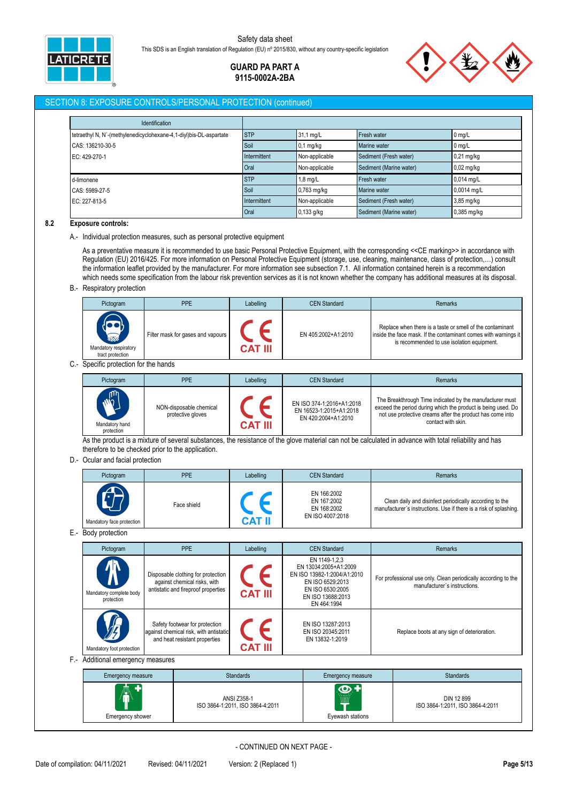

> **GUARD PA PART A 9115-0002A-2BA**

## SECTION 8: EXPOSURE CONTROLS/PERSONAL PROTECTION (continued)

| <b>Identification</b>                                              |              |                |                         |              |
|--------------------------------------------------------------------|--------------|----------------|-------------------------|--------------|
| tetraethyl N, N'-(methylenedicyclohexane-4,1-diyl)bis-DL-aspartate | <b>STP</b>   | 31,1 mg/L      | Fresh water             | $0$ mg/L     |
| CAS: 136210-30-5                                                   | Soil         | $0,1$ mg/kg    | Marine water            | $0$ mg/L     |
| EC: 429-270-1                                                      | Intermittent | Non-applicable | Sediment (Fresh water)  | $0,21$ mg/kg |
|                                                                    | Oral         | Non-applicable | Sediment (Marine water) | $0,02$ mg/kg |
| d-limonene                                                         | <b>STP</b>   | 1,8 mg/L       | Fresh water             | 0,014 mg/L   |
| CAS: 5989-27-5                                                     | Soil         | 0,763 mg/kg    | Marine water            | 0,0014 mg/L  |
| EC: 227-813-5                                                      | Intermittent | Non-applicable | Sediment (Fresh water)  | 3,85 mg/kg   |
|                                                                    | Oral         | $0,133$ g/kg   | Sediment (Marine water) | 0,385 mg/kg  |

#### **8.2 Exposure controls:**

A.- Individual protection measures, such as personal protective equipment

As a preventative measure it is recommended to use basic Personal Protective Equipment, with the corresponding <<CE marking>> in accordance with Regulation (EU) 2016/425. For more information on Personal Protective Equipment (storage, use, cleaning, maintenance, class of protection,…) consult the information leaflet provided by the manufacturer. For more information see subsection 7.1. All information contained herein is a recommendation which needs some specification from the labour risk prevention services as it is not known whether the company has additional measures at its disposal.

B.- Respiratory protection

| Pictogram                                                          | <b>PPE</b>                        | Labelling | <b>CEN Standard</b> | <b>Remarks</b>                                                                                                                                                             |
|--------------------------------------------------------------------|-----------------------------------|-----------|---------------------|----------------------------------------------------------------------------------------------------------------------------------------------------------------------------|
| $\sum_{n=1}^{\infty}$<br>Mandatory respiratory<br>tract protection | Filter mask for gases and vapours | CAT III   | EN 405:2002+A1:2010 | Replace when there is a taste or smell of the contaminant<br>inside the face mask. If the contaminant comes with warnings it<br>is recommended to use isolation equipment. |

C.- Specific protection for the hands

| Pictogram                                  | PPE                                          | Labelling | <b>CEN Standard</b>                                                         | <b>Remarks</b>                                                                                                                                                                                              |
|--------------------------------------------|----------------------------------------------|-----------|-----------------------------------------------------------------------------|-------------------------------------------------------------------------------------------------------------------------------------------------------------------------------------------------------------|
| <b>AND</b><br>Mandatory hand<br>protection | NON-disposable chemical<br>protective gloves | CAT III   | EN ISO 374-1:2016+A1:2018<br>EN 16523-1:2015+A1:2018<br>EN 420:2004+A1:2010 | The Breakthrough Time indicated by the manufacturer must<br>exceed the period during which the product is being used. Do<br>not use protective creams after the product has come into<br>contact with skin. |

As the product is a mixture of several substances, the resistance of the glove material can not be calculated in advance with total reliability and has therefore to be checked prior to the application.

D.- Ocular and facial protection

| Pictogram                 | <b>PPE</b>  | Labelling | <b>CEN Standard</b>                                           | <b>Remarks</b>                                                                                                               |
|---------------------------|-------------|-----------|---------------------------------------------------------------|------------------------------------------------------------------------------------------------------------------------------|
| Mandatory face protection | Face shield | C.AT      | EN 166:2002<br>EN 167:2002<br>EN 168:2002<br>EN ISO 4007:2018 | Clean daily and disinfect periodically according to the<br>manufacturer's instructions. Use if there is a risk of splashing. |

E.- Body protection

| Pictogram                                              | <b>PPE</b>                                                                                                | Labelling      | <b>CEN Standard</b>                                                                                                                               | <b>Remarks</b>                                                                                 |
|--------------------------------------------------------|-----------------------------------------------------------------------------------------------------------|----------------|---------------------------------------------------------------------------------------------------------------------------------------------------|------------------------------------------------------------------------------------------------|
| <mark></mark><br>Mandatory complete body<br>protection | Disposable clothing for protection<br>against chemical risks, with<br>antistatic and fireproof properties | <b>CAT III</b> | EN 1149-1.2.3<br>EN 13034:2005+A1:2009<br>EN ISO 13982-1:2004/A1:2010<br>EN ISO 6529:2013<br>EN ISO 6530:2005<br>EN ISO 13688:2013<br>EN 464:1994 | For professional use only. Clean periodically according to the<br>manufacturer's instructions. |
| 夙<br>Mandatory foot protection                         | Safety footwear for protection<br>against chemical risk, with antistatic<br>and heat resistant properties | <b>CAT III</b> | EN ISO 13287:2013<br>EN ISO 20345:2011<br>EN 13832-1:2019                                                                                         | Replace boots at any sign of deterioration.                                                    |

F.- Additional emergency measures

| Emergency measure                 | <b>Standards</b>                                | Emergency measure                                 | <b>Standards</b>                               |
|-----------------------------------|-------------------------------------------------|---------------------------------------------------|------------------------------------------------|
| ⋒<br>ш<br><b>Emergency shower</b> | ANSI Z358-1<br>ISO 3864-1:2011, ISO 3864-4:2011 | <b>OF</b><br>.<br><b>WHAT</b><br>Eyewash stations | DIN 12 899<br>ISO 3864-1:2011, ISO 3864-4:2011 |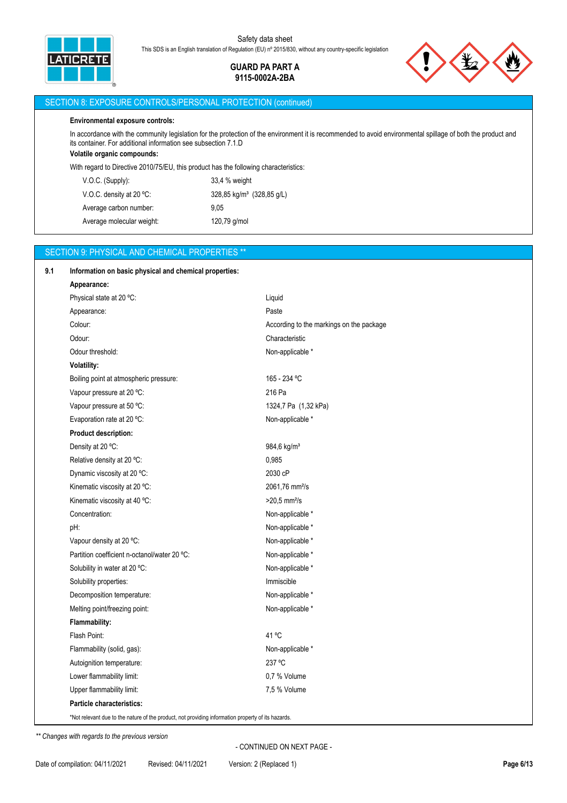

> **GUARD PA PART A 9115-0002A-2BA**



## SECTION 8: EXPOSURE CONTROLS/PERSONAL PROTECTION (continued)

### **Environmental exposure controls:**

In accordance with the community legislation for the protection of the environment it is recommended to avoid environmental spillage of both the product and its container. For additional information see subsection 7.1.D

## **Volatile organic compounds:**

With regard to Directive 2010/75/EU, this product has the following characteristics:

| $V.O.C.$ (Supply):        | 33,4 % weight                         |
|---------------------------|---------------------------------------|
| V.O.C. density at 20 °C:  | 328,85 kg/m <sup>3</sup> (328,85 g/L) |
| Average carbon number:    | 9.05                                  |
| Average molecular weight: | 120,79 g/mol                          |

### SECTION 9: PHYSICAL AND CHEMICAL PROPERTIES \*\*

| Information on basic physical and chemical properties: |                                          |
|--------------------------------------------------------|------------------------------------------|
| Appearance:                                            |                                          |
| Physical state at 20 °C:                               | Liquid                                   |
| Appearance:                                            | Paste                                    |
| Colour:                                                | According to the markings on the package |
| Odour:                                                 | Characteristic                           |
| Odour threshold:                                       | Non-applicable *                         |
| Volatility:                                            |                                          |
| Boiling point at atmospheric pressure:                 | 165 - 234 °C                             |
| Vapour pressure at 20 °C:                              | 216 Pa                                   |
| Vapour pressure at 50 °C:                              | 1324,7 Pa (1,32 kPa)                     |
| Evaporation rate at 20 °C:                             | Non-applicable *                         |
| Product description:                                   |                                          |
| Density at 20 °C:                                      | 984,6 kg/m <sup>3</sup>                  |
| Relative density at 20 °C:                             | 0,985                                    |
| Dynamic viscosity at 20 °C:                            | 2030 cP                                  |
| Kinematic viscosity at 20 °C:                          | 2061,76 mm <sup>2</sup> /s               |
| Kinematic viscosity at 40 °C:                          | $>20,5$ mm <sup>2</sup> /s               |
| Concentration:                                         | Non-applicable *                         |
| pH:                                                    | Non-applicable *                         |
| Vapour density at 20 °C:                               | Non-applicable *                         |
| Partition coefficient n-octanol/water 20 °C:           | Non-applicable *                         |
| Solubility in water at 20 °C:                          | Non-applicable *                         |
| Solubility properties:                                 | Immiscible                               |
| Decomposition temperature:                             | Non-applicable *                         |
| Melting point/freezing point:                          | Non-applicable *                         |
| Flammability:                                          |                                          |
| Flash Point:                                           | 41 °C                                    |
| Flammability (solid, gas):                             | Non-applicable *                         |
| Autoignition temperature:                              | 237 °C                                   |
| Lower flammability limit:                              | 0.7 % Volume                             |
| Upper flammability limit:                              | 7,5 % Volume                             |
| Particle characteristics:                              |                                          |

*\*\* Changes with regards to the previous version*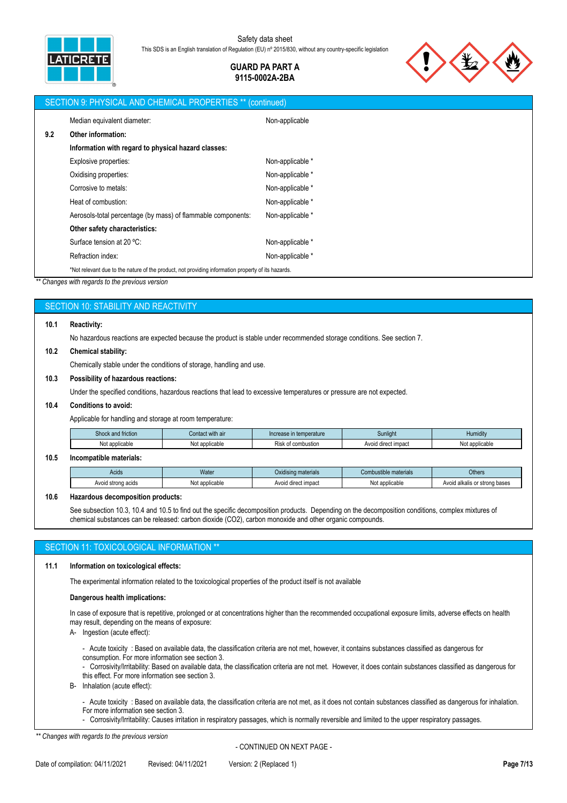

## **GUARD PA PART A 9115-0002A-2BA**



|     | SECTION 9: PHYSICAL AND CHEMICAL PROPERTIES ** (continued)                                         |                  |  |  |  |
|-----|----------------------------------------------------------------------------------------------------|------------------|--|--|--|
|     | Median equivalent diameter:                                                                        | Non-applicable   |  |  |  |
| 9.2 | Other information:                                                                                 |                  |  |  |  |
|     | Information with regard to physical hazard classes:                                                |                  |  |  |  |
|     | Explosive properties:                                                                              | Non-applicable * |  |  |  |
|     | Oxidising properties:                                                                              | Non-applicable * |  |  |  |
|     | Corrosive to metals:                                                                               | Non-applicable * |  |  |  |
|     | Heat of combustion:                                                                                | Non-applicable * |  |  |  |
|     | Aerosols-total percentage (by mass) of flammable components:                                       | Non-applicable * |  |  |  |
|     | Other safety characteristics:                                                                      |                  |  |  |  |
|     | Surface tension at 20 °C:                                                                          | Non-applicable * |  |  |  |
|     | Refraction index:                                                                                  | Non-applicable * |  |  |  |
|     | *Not relevant due to the nature of the product, not providing information property of its hazards. |                  |  |  |  |

*\*\* Changes with regards to the previous version*

## SECTION 10: STABILITY AND REACTIVITY

#### **10.1 Reactivity:**

No hazardous reactions are expected because the product is stable under recommended storage conditions. See section 7.

#### **10.2 Chemical stability:**

Chemically stable under the conditions of storage, handling and use.

## **10.3 Possibility of hazardous reactions:**

Under the specified conditions, hazardous reactions that lead to excessive temperatures or pressure are not expected.

#### **10.4 Conditions to avoid:**

Applicable for handling and storage at room temperature:

| $\sim$<br>. .<br>and friction.<br>shock a | i with air<br>Contact | ı temperature<br>increase  | Sunliah                | Humidity       |
|-------------------------------------------|-----------------------|----------------------------|------------------------|----------------|
| applicable                                | applicable<br>Not     | combustion<br><b>RISK.</b> | impact<br>Avoid direct | Not applicable |

#### **10.5 Incompatible materials:**

| <b>Acids</b>          | Water               | .<br>Oxidising materials | mbustible materials<br>UUI    | <b>Others</b>                      |
|-----------------------|---------------------|--------------------------|-------------------------------|------------------------------------|
| strong acids<br>Avoid | : applicable<br>wu. | I direct impact<br>Avoid | t applicable<br>ימו<br>13 U.L | ' alkalis or strong bases<br>Avoid |

#### **10.6 Hazardous decomposition products:**

See subsection 10.3, 10.4 and 10.5 to find out the specific decomposition products. Depending on the decomposition conditions, complex mixtures of chemical substances can be released: carbon dioxide (CO2), carbon monoxide and other organic compounds.

## SECTION 11: TOXICOLOGICAL INFORMATION

### **11.1 Information on toxicological effects:**

The experimental information related to the toxicological properties of the product itself is not available

#### **Dangerous health implications:**

In case of exposure that is repetitive, prolonged or at concentrations higher than the recommended occupational exposure limits, adverse effects on health may result, depending on the means of exposure:

A- Ingestion (acute effect):

- Acute toxicity : Based on available data, the classification criteria are not met, however, it contains substances classified as dangerous for consumption. For more information see section 3.
- Corrosivity/Irritability: Based on available data, the classification criteria are not met. However, it does contain substances classified as dangerous for this effect. For more information see section 3.

B- Inhalation (acute effect):

- Acute toxicity : Based on available data, the classification criteria are not met, as it does not contain substances classified as dangerous for inhalation. For more information see section 3.

- Corrosivity/Irritability: Causes irritation in respiratory passages, which is normally reversible and limited to the upper respiratory passages.

*\*\* Changes with regards to the previous version*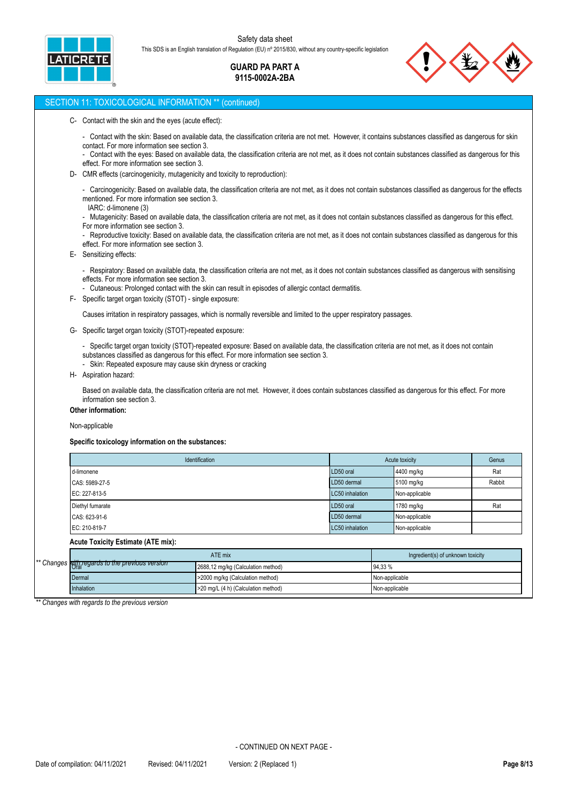

**GUARD PA PART A 9115-0002A-2BA**



## SECTION 11: TOXICOLOGICAL INFORMATION \*\* (continued)

- C- Contact with the skin and the eyes (acute effect):
	- Contact with the skin: Based on available data, the classification criteria are not met. However, it contains substances classified as dangerous for skin contact. For more information see section 3.
	- Contact with the eyes: Based on available data, the classification criteria are not met, as it does not contain substances classified as dangerous for this effect. For more information see section 3.
- D- CMR effects (carcinogenicity, mutagenicity and toxicity to reproduction):
	- Carcinogenicity: Based on available data, the classification criteria are not met, as it does not contain substances classified as dangerous for the effects mentioned. For more information see section 3.
	- IARC: d-limonene (3)
	- Mutagenicity: Based on available data, the classification criteria are not met, as it does not contain substances classified as dangerous for this effect. For more information see section 3.
	- Reproductive toxicity: Based on available data, the classification criteria are not met, as it does not contain substances classified as dangerous for this effect. For more information see section 3.
- E- Sensitizing effects:
	- Respiratory: Based on available data, the classification criteria are not met, as it does not contain substances classified as dangerous with sensitising effects. For more information see section 3.
	- Cutaneous: Prolonged contact with the skin can result in episodes of allergic contact dermatitis.
- F- Specific target organ toxicity (STOT) single exposure:

Causes irritation in respiratory passages, which is normally reversible and limited to the upper respiratory passages.

- G- Specific target organ toxicity (STOT)-repeated exposure:
	- Specific target organ toxicity (STOT)-repeated exposure: Based on available data, the classification criteria are not met, as it does not contain
	- substances classified as dangerous for this effect. For more information see section 3.
	- Skin: Repeated exposure may cause skin dryness or cracking
- H- Aspiration hazard:

Based on available data, the classification criteria are not met. However, it does contain substances classified as dangerous for this effect. For more information see section 3.

## **Other information:**

Non-applicable

#### **Specific toxicology information on the substances:**

| Identification   | Acute toxicity  | Genus          |        |
|------------------|-----------------|----------------|--------|
| d-limonene       | LD50 oral       | 4400 mg/kg     | Rat    |
| CAS: 5989-27-5   | LD50 dermal     | 5100 mg/kg     | Rabbit |
| EC: 227-813-5    | LC50 inhalation | Non-applicable |        |
| Diethyl fumarate | LD50 oral       | 1780 mg/kg     | Rat    |
| CAS: 623-91-6    | LD50 dermal     | Non-applicable |        |
| EC: 210-819-7    | LC50 inhalation | Non-applicable |        |

## **Acute Toxicity Estimate (ATE mix):**

|                                                 | ATE mix                             | Ingredient(s) of unknown toxicity |
|-------------------------------------------------|-------------------------------------|-----------------------------------|
| ** Changes with regards to the previous version | 2688,12 mg/kg (Calculation method)  | 94.33 %                           |
| Dermal                                          | >2000 mg/kg (Calculation method)    | Non-applicable                    |
| <b>Inhalation</b>                               | >20 mg/L (4 h) (Calculation method) | Non-applicable                    |

*\*\* Changes with regards to the previous version*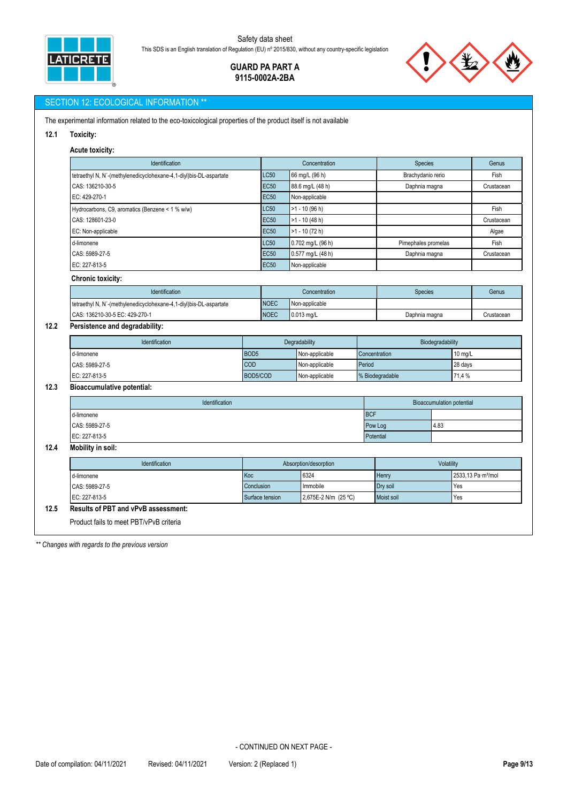

## **GUARD PA PART A 9115-0002A-2BA**

## SECTION 12: ECOLOGICAL INFORMATION \*

The experimental information related to the eco-toxicological properties of the product itself is not available

**12.1 Toxicity:**

# **Acute toxicity:**

| Identification                                                     |                  |                            | Concentration               |            | Species                       |                                  |            | Genus      |
|--------------------------------------------------------------------|------------------|----------------------------|-----------------------------|------------|-------------------------------|----------------------------------|------------|------------|
| tetraethyl N, N'-(methylenedicyclohexane-4,1-diyl)bis-DL-aspartate |                  | LC50                       | 66 mg/L (96 h)              |            | Brachydanio rerio             |                                  |            | Fish       |
| CAS: 136210-30-5                                                   |                  | <b>EC50</b>                | 88.6 mg/L (48 h)            |            | Daphnia magna                 |                                  |            | Crustacean |
| EC: 429-270-1                                                      |                  | <b>EC50</b>                | Non-applicable              |            |                               |                                  |            |            |
| Hydrocarbons, C9, aromatics (Benzene < 1 % w/w)                    |                  | LC50                       | $\overline{>1}$ - 10 (96 h) |            |                               |                                  |            | Fish       |
| CAS: 128601-23-0                                                   |                  | <b>EC50</b>                | $>1 - 10(48 h)$             |            |                               |                                  |            | Crustacean |
| EC: Non-applicable                                                 |                  |                            | $>1 - 10$ (72 h)            |            |                               |                                  |            | Algae      |
| d-limonene                                                         |                  | <b>LC50</b>                | 0.702 mg/L (96 h)           |            | Pimephales promelas           |                                  |            | Fish       |
| CAS: 5989-27-5                                                     |                  | <b>EC50</b>                | 0.577 mg/L (48 h)           |            | Daphnia magna                 |                                  |            | Crustacean |
| EC: 227-813-5                                                      |                  | <b>EC50</b>                | Non-applicable              |            |                               |                                  |            |            |
| <b>Chronic toxicity:</b>                                           |                  |                            |                             |            |                               |                                  |            |            |
| Identification                                                     |                  |                            | Concentration               |            | <b>Species</b>                |                                  |            | Genus      |
| tetraethyl N, N'-(methylenedicyclohexane-4,1-diyl)bis-DL-aspartate |                  | <b>NOEC</b>                | Non-applicable              |            |                               |                                  |            |            |
| CAS: 136210-30-5 EC: 429-270-1                                     |                  | <b>NOEC</b>                | $0.013$ mg/L                |            |                               | Daphnia magna                    |            | Crustacean |
| Persistence and degradability:                                     |                  |                            |                             |            |                               |                                  |            |            |
| Identification                                                     |                  | Degradability              |                             |            | Biodegradability              |                                  |            |            |
| d-limonene                                                         | BOD <sub>5</sub> |                            | Non-applicable              |            | Concentration                 |                                  | 10 mg/L    |            |
| COD<br>CAS: 5989-27-5                                              |                  |                            | Period<br>Non-applicable    |            |                               | 28 days                          |            |            |
| EC: 227-813-5                                                      |                  | BOD5/COD<br>Non-applicable |                             |            | % Biodegradable<br>71.4 %     |                                  |            |            |
| <b>Bioaccumulative potential:</b>                                  |                  |                            |                             |            |                               |                                  |            |            |
| Identification                                                     |                  |                            |                             |            |                               | <b>Bioaccumulation potential</b> |            |            |
| d-limonene                                                         |                  |                            |                             | <b>BCF</b> |                               |                                  |            |            |
| CAS: 5989-27-5                                                     |                  |                            |                             |            | 4.83<br>Pow Log               |                                  |            |            |
| EC: 227-813-5                                                      |                  |                            |                             |            | Potential                     |                                  |            |            |
| Mobility in soil:                                                  |                  |                            |                             |            |                               |                                  |            |            |
| Identification                                                     |                  | Absorption/desorption      |                             |            |                               |                                  | Volatility |            |
| Koc<br>d-limonene                                                  |                  | 6324                       |                             | Henry      |                               | 2533,13 Pa·m <sup>3</sup> /mol   |            |            |
| CAS: 5989-27-5                                                     | Conclusion       |                            | Immobile                    |            |                               |                                  | Yes        |            |
| EC: 227-813-5                                                      |                  | Surface tension            | 2,675E-2 N/m (25 °C)        |            | Dry soil<br>Yes<br>Moist soil |                                  |            |            |

*\*\* Changes with regards to the previous version*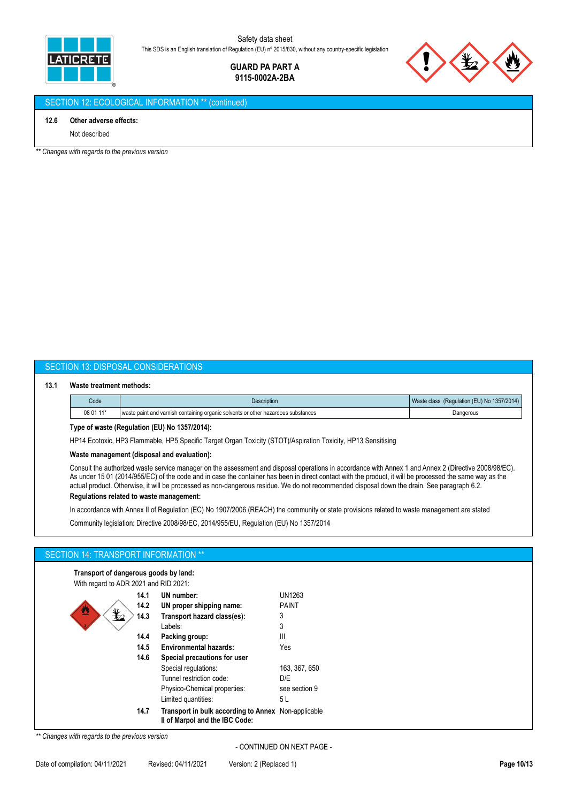

> **GUARD PA PART A 9115-0002A-2BA**



## SECTION 12: ECOLOGICAL INFORMATION \*\* (continued)

#### **12.6 Other adverse effects:**

Not described

*\*\* Changes with regards to the previous version*

## SECTION 13: DISPOSAL CONSIDERATIONS

#### **13.1 Waste treatment methods:**

| Code      | Description                                                                       | (Regulation (EU) No 1357/2014)<br>Waste class |
|-----------|-----------------------------------------------------------------------------------|-----------------------------------------------|
| 08 01 11* | waste paint and varnish containing organic solvents or other hazardous substances | Dangerous                                     |

### **Type of waste (Regulation (EU) No 1357/2014):**

HP14 Ecotoxic, HP3 Flammable, HP5 Specific Target Organ Toxicity (STOT)/Aspiration Toxicity, HP13 Sensitising

#### **Waste management (disposal and evaluation):**

Consult the authorized waste service manager on the assessment and disposal operations in accordance with Annex 1 and Annex 2 (Directive 2008/98/EC). As under 15 01 (2014/955/EC) of the code and in case the container has been in direct contact with the product, it will be processed the same way as the actual product. Otherwise, it will be processed as non-dangerous residue. We do not recommended disposal down the drain. See paragraph 6.2.

## **Regulations related to waste management:**

In accordance with Annex II of Regulation (EC) No 1907/2006 (REACH) the community or state provisions related to waste management are stated

Community legislation: Directive 2008/98/EC, 2014/955/EU, Regulation (EU) No 1357/2014

### SECTION 14: TRANSPORT INFORMATION \*\*

**Transport of dangerous goods by land:**

| With regard to ADR 2021 and RID 2021: |
|---------------------------------------|
|---------------------------------------|

| 14.1 | UN number:                                                                            | UN1263        |
|------|---------------------------------------------------------------------------------------|---------------|
| 14.2 | UN proper shipping name:                                                              | <b>PAINT</b>  |
| 14.3 | Transport hazard class(es):                                                           | 3             |
|      | Labels:                                                                               | 3             |
| 14.4 | Packing group:                                                                        | Ш             |
| 14.5 | <b>Environmental hazards:</b>                                                         | Yes           |
| 14.6 | Special precautions for user                                                          |               |
|      | Special regulations:                                                                  | 163, 367, 650 |
|      | Tunnel restriction code:                                                              | D/E           |
|      | Physico-Chemical properties:                                                          | see section 9 |
|      | Limited quantities:                                                                   | 5L            |
| 14.7 | Transport in bulk according to Annex Non-applicable<br>II of Marpol and the IBC Code: |               |

*\*\* Changes with regards to the previous version*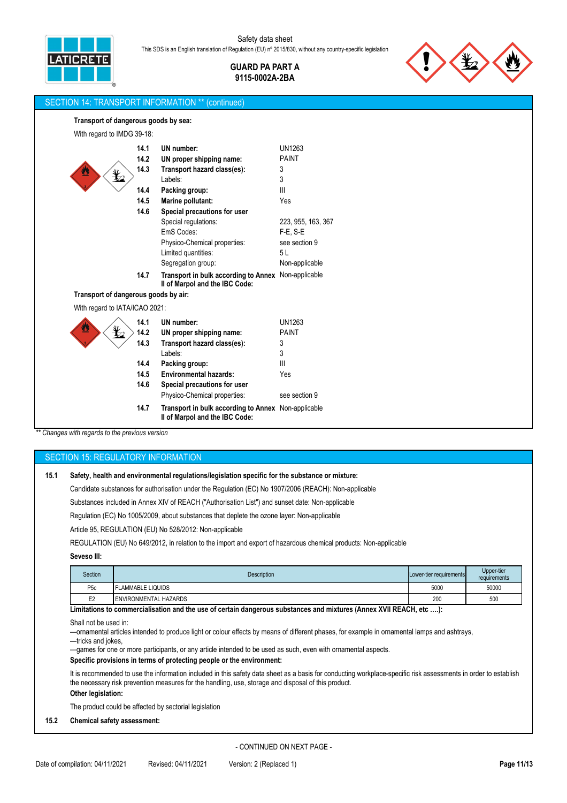> **GUARD PA PART A 9115-0002A-2BA**



## SECTION 14: TRANSPORT INFORMATION \*\* (continued)

#### **Transport of dangerous goods by sea:**

| With regard to IMDG 39-18:           |      |                                                                                       |                    |
|--------------------------------------|------|---------------------------------------------------------------------------------------|--------------------|
|                                      | 14.1 | UN number:                                                                            | <b>UN1263</b>      |
|                                      | 14.2 | UN proper shipping name:                                                              | <b>PAINT</b>       |
|                                      | 14.3 | Transport hazard class(es):                                                           | 3                  |
|                                      |      | Labels:                                                                               | 3                  |
|                                      | 14.4 | Packing group:                                                                        | Ш                  |
|                                      | 14.5 | Marine pollutant:                                                                     | Yes                |
|                                      | 14.6 | Special precautions for user                                                          |                    |
|                                      |      | Special regulations:                                                                  | 223, 955, 163, 367 |
|                                      |      | EmS Codes:                                                                            | $F-E. S-E$         |
|                                      |      | Physico-Chemical properties:                                                          | see section 9      |
|                                      |      | Limited quantities:                                                                   | 5L                 |
|                                      |      | Segregation group:                                                                    | Non-applicable     |
|                                      | 14.7 | Transport in bulk according to Annex Non-applicable<br>Il of Marpol and the IBC Code: |                    |
| Transport of dangerous goods by air: |      |                                                                                       |                    |
| With regard to IATA/ICAO 2021:       |      |                                                                                       |                    |
|                                      | 14.1 | UN number:                                                                            | UN1263             |
|                                      | 14.2 | UN proper shipping name:                                                              | <b>PAINT</b>       |
|                                      | 14.3 | Transport hazard class(es):                                                           | 3                  |
|                                      |      | Labels:                                                                               | 3                  |
|                                      | 14.4 | Packing group:                                                                        | III                |
|                                      | 14.5 | <b>Environmental hazards:</b>                                                         | Yes                |
|                                      | 14.6 | Special precautions for user                                                          |                    |
|                                      |      | Physico-Chemical properties:                                                          | see section 9      |
|                                      | 14.7 | Transport in bulk according to Annex Non-applicable<br>II of Marpol and the IBC Code: |                    |
|                                      |      |                                                                                       |                    |

*\*\* Changes with regards to the previous version*

# SECTION 15: REGULATORY INFORMATION

## **15.1 Safety, health and environmental regulations/legislation specific for the substance or mixture:**

Candidate substances for authorisation under the Regulation (EC) No 1907/2006 (REACH): Non-applicable

Substances included in Annex XIV of REACH ("Authorisation List") and sunset date: Non-applicable

Regulation (EC) No 1005/2009, about substances that deplete the ozone layer: Non-applicable

Article 95, REGULATION (EU) No 528/2012: Non-applicable

REGULATION (EU) No 649/2012, in relation to the import and export of hazardous chemical products: Non-applicable

#### **Seveso III:**

| Section         | <b>Description</b>    | Lower-tier requirements | Upper-tier<br>requirements |
|-----------------|-----------------------|-------------------------|----------------------------|
| P <sub>5c</sub> | LAMMABLE LIQUIDS      | 5000                    | 50000                      |
| E <sub>2</sub>  | ENVIRONMENTAL HAZARDS | 200                     | 500                        |

**Limitations to commercialisation and the use of certain dangerous substances and mixtures (Annex XVII REACH, etc ….):**

Shall not be used in:

—ornamental articles intended to produce light or colour effects by means of different phases, for example in ornamental lamps and ashtrays,

—tricks and jokes,

—games for one or more participants, or any article intended to be used as such, even with ornamental aspects.

## **Specific provisions in terms of protecting people or the environment:**

It is recommended to use the information included in this safety data sheet as a basis for conducting workplace-specific risk assessments in order to establish the necessary risk prevention measures for the handling, use, storage and disposal of this product.

# **Other legislation:**

The product could be affected by sectorial legislation

## **15.2 Chemical safety assessment:**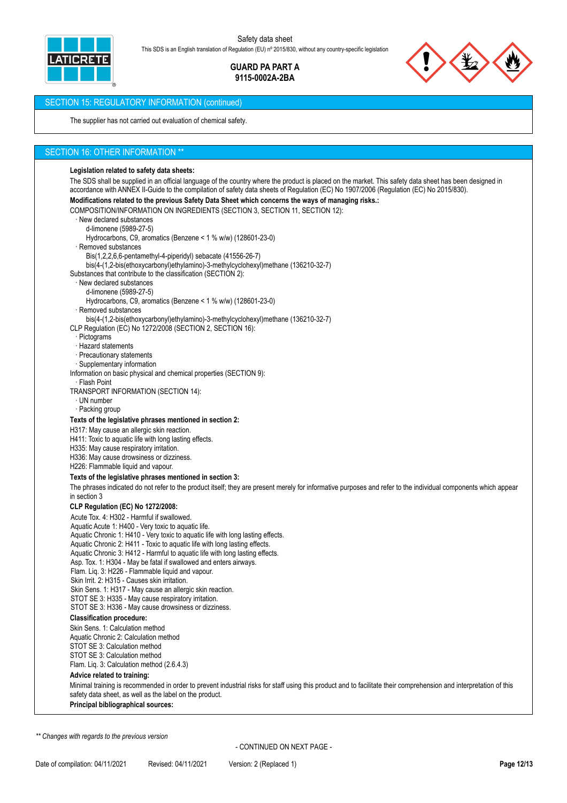

> **GUARD PA PART A 9115-0002A-2BA**



## SECTION 15: REGULATORY INFORMATION (continued)

The supplier has not carried out evaluation of chemical safety.

## SECTION 16: OTHER INFORMATION \*\*

#### **Legislation related to safety data sheets:**

The SDS shall be supplied in an official language of the country where the product is placed on the market. This safety data sheet has been designed in accordance with ANNEX II-Guide to the compilation of safety data sheets of Regulation (EC) No 1907/2006 (Regulation (EC) No 2015/830).

# **Modifications related to the previous Safety Data Sheet which concerns the ways of managing risks.:**

COMPOSITION/INFORMATION ON INGREDIENTS (SECTION 3, SECTION 11, SECTION 12):

- · New declared substances
- d-limonene (5989-27-5)
- Hydrocarbons, C9, aromatics (Benzene < 1 % w/w) (128601-23-0)
- · Removed substances
	- Bis(1,2,2,6,6-pentamethyl-4-piperidyl) sebacate (41556-26-7)
- bis(4-(1,2-bis(ethoxycarbonyl)ethylamino)-3-methylcyclohexyl)methane (136210-32-7)

Substances that contribute to the classification (SECTION 2):

- New declared substances
- d-limonene (5989-27-5)
- Hydrocarbons, C9, aromatics (Benzene < 1 % w/w) (128601-23-0)
- · Removed substances

bis(4-(1,2-bis(ethoxycarbonyl)ethylamino)-3-methylcyclohexyl)methane (136210-32-7)

CLP Regulation (EC) No 1272/2008 (SECTION 2, SECTION 16):

- **Pictograms**
- · Hazard statements
- · Precautionary statements
- · Supplementary information

Information on basic physical and chemical properties (SECTION 9):

· Flash Point

TRANSPORT INFORMATION (SECTION 14):

- · UN number
- · Packing group

#### **Texts of the legislative phrases mentioned in section 2:**

H317: May cause an allergic skin reaction.

- H411: Toxic to aquatic life with long lasting effects.
- H335: May cause respiratory irritation.
- H336: May cause drowsiness or dizziness.
- H226: Flammable liquid and vapour.

## **Texts of the legislative phrases mentioned in section 3:**

The phrases indicated do not refer to the product itself; they are present merely for informative purposes and refer to the individual components which appear in section 3

#### **CLP Regulation (EC) No 1272/2008:**

Acute Tox. 4: H302 - Harmful if swallowed.

Aquatic Acute 1: H400 - Very toxic to aquatic life.

- Aquatic Chronic 1: H410 Very toxic to aquatic life with long lasting effects.
- Aquatic Chronic 2: H411 Toxic to aquatic life with long lasting effects.
- Aquatic Chronic 3: H412 Harmful to aquatic life with long lasting effects.
- Asp. Tox. 1: H304 May be fatal if swallowed and enters airways.
- Flam. Liq. 3: H226 Flammable liquid and vapour.
- Skin Irrit. 2: H315 Causes skin irritation.
- Skin Sens. 1: H317 May cause an allergic skin reaction.
- STOT SE 3: H335 May cause respiratory irritation.
- STOT SE 3: H336 May cause drowsiness or dizziness.

## **Classification procedure:**

Skin Sens. 1: Calculation method Aquatic Chronic 2: Calculation method STOT SE 3: Calculation method STOT SE 3: Calculation method

## Flam. Liq. 3: Calculation method (2.6.4.3)

## **Advice related to training:**

Minimal training is recommended in order to prevent industrial risks for staff using this product and to facilitate their comprehension and interpretation of this safety data sheet, as well as the label on the product.

**Principal bibliographical sources:**

*\*\* Changes with regards to the previous version*